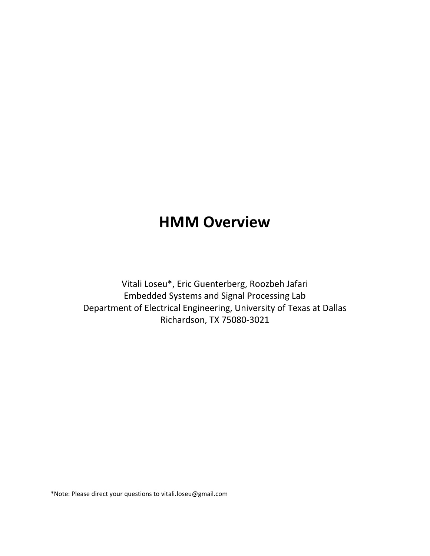# HMM Overview

Vitali Loseu\*, Eric Guenterberg, Roozbeh Jafari Embedded Systems and Signal Processing Lab Department of Electrical Engineering, University of Texas at Dallas Richardson, TX 75080-3021

\*Note: Please direct your questions to vitali.loseu@gmail.com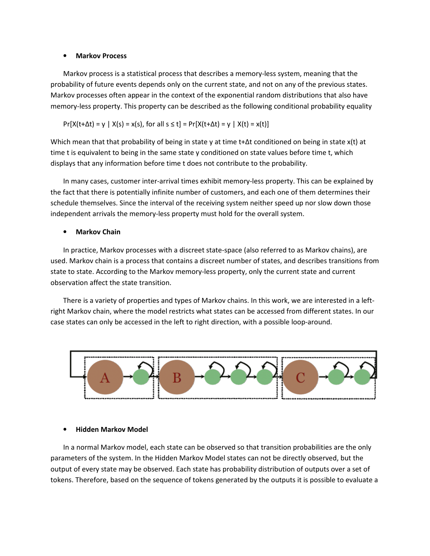#### • Markov Process

Markov process is a statistical process that describes a memory-less system, meaning that the probability of future events depends only on the current state, and not on any of the previous states. Markov processes often appear in the context of the exponential random distributions that also have memory-less property. This property can be described as the following conditional probability equality

$$
Pr[X(t + \Delta t) = y | X(s) = x(s), \text{ for all } s \le t] = Pr[X(t + \Delta t) = y | X(t) = x(t)]
$$

Which mean that that probability of being in state y at time t+Δt conditioned on being in state x(t) at time t is equivalent to being in the same state y conditioned on state values before time t, which displays that any information before time t does not contribute to the probability.

In many cases, customer inter-arrival times exhibit memory-less property. This can be explained by the fact that there is potentially infinite number of customers, and each one of them determines their schedule themselves. Since the interval of the receiving system neither speed up nor slow down those independent arrivals the memory-less property must hold for the overall system.

#### **Markov Chain**

In practice, Markov processes with a discreet state-space (also referred to as Markov chains), are used. Markov chain is a process that contains a discreet number of states, and describes transitions from state to state. According to the Markov memory-less property, only the current state and current observation affect the state transition.

There is a variety of properties and types of Markov chains. In this work, we are interested in a leftright Markov chain, where the model restricts what states can be accessed from different states. In our case states can only be accessed in the left to right direction, with a possible loop-around.



#### • Hidden Markov Model

In a normal Markov model, each state can be observed so that transition probabilities are the only parameters of the system. In the Hidden Markov Model states can not be directly observed, but the output of every state may be observed. Each state has probability distribution of outputs over a set of tokens. Therefore, based on the sequence of tokens generated by the outputs it is possible to evaluate a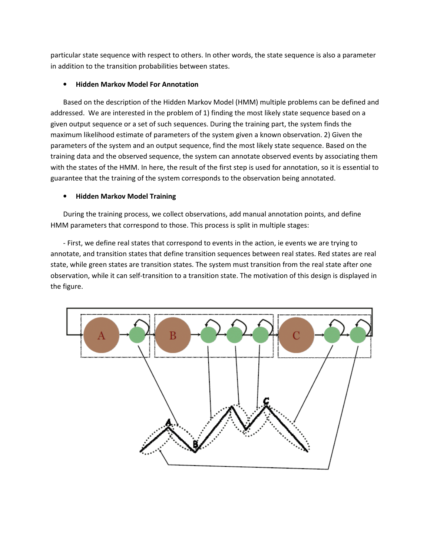particular state sequence with respect to others. In other words, the state sequence is also a parameter in addition to the transition probabilities between states.

## • Hidden Markov Model For Annotation

Based on the description of the Hidden Markov Model (HMM) multiple problems can be defined and addressed. We are interested in the problem of 1) finding the most likely state sequence based on a given output sequence or a set of such sequences. During the training part, the system finds the maximum likelihood estimate of parameters of the system given a known observation. 2) Given the parameters of the system and an output sequence, find the most likely state sequence. Based on the training data and the observed sequence, the system can annotate observed events by associating them with the states of the HMM. In here, the result of the first step is used for annotation, so it is essential to guarantee that the training of the system corresponds to the observation being annotated.

## • Hidden Markov Model Training

During the training process, we collect observations, add manual annotation points, and define HMM parameters that correspond to those. This process is split in multiple stages:

- First, we define real states that correspond to events in the action, ie events we are trying to annotate, and transition states that define transition sequences between real states. Red states are real state, while green states are transition states. The system must transition from the real state after one observation, while it can self-transition to a transition state. The motivation of this design is displayed in the figure.